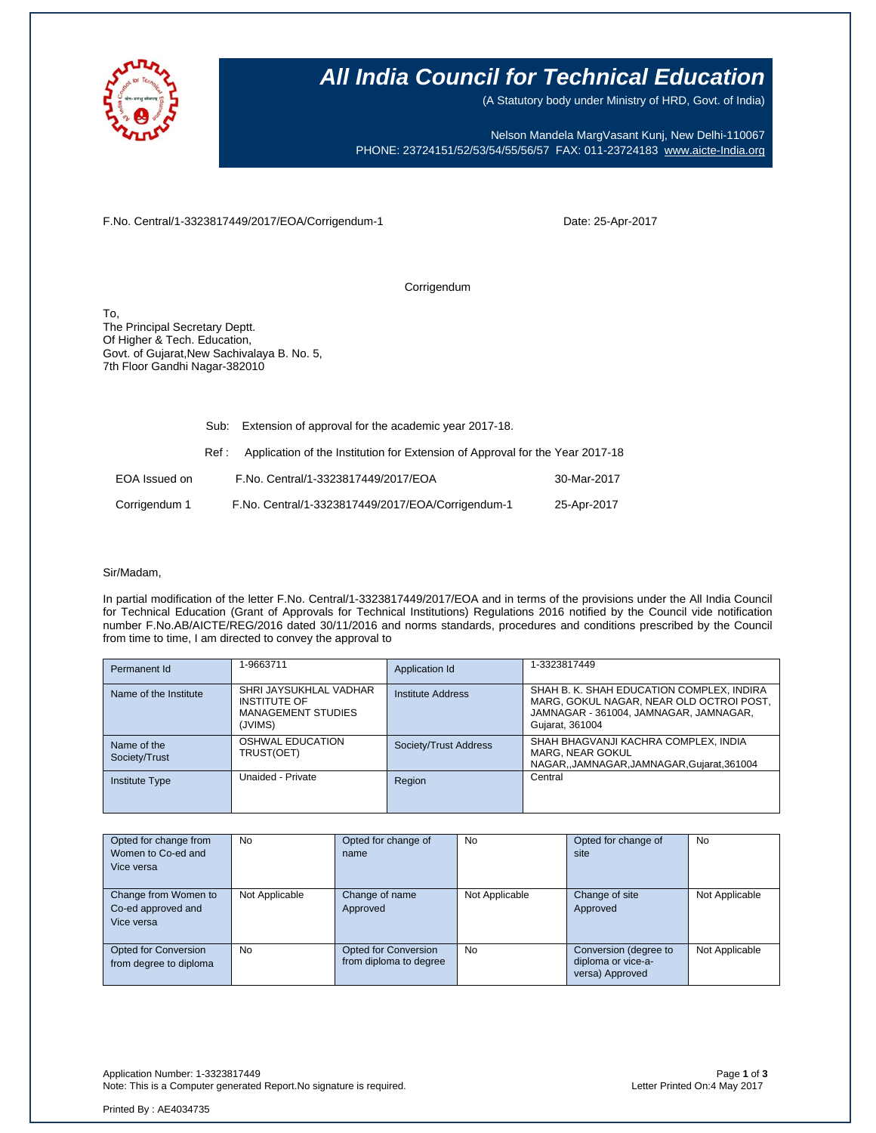

## **All India Council for Technical Education**

(A Statutory body under Ministry of HRD, Govt. of India)

Nelson Mandela MargVasant Kunj, New Delhi-110067 PHONE: 23724151/52/53/54/55/56/57 FAX: 011-23724183 [www.aicte-India.org](http://www.aicte-india.org/)

F.No. Central/1-3323817449/2017/EOA/Corrigendum-1

Date: 25-Apr-2017

Corrigendum

To, The Principal Secretary Deptt. Of Higher & Tech. Education, Govt. of Gujarat,New Sachivalaya B. No. 5, 7th Floor Gandhi Nagar-382010

|               | Sub:  | Extension of approval for the academic year 2017-18.                          |             |
|---------------|-------|-------------------------------------------------------------------------------|-------------|
|               | Ref : | Application of the Institution for Extension of Approval for the Year 2017-18 |             |
| EOA Issued on |       | F.No. Central/1-3323817449/2017/EOA                                           | 30-Mar-2017 |
| Corrigendum 1 |       | F.No. Central/1-3323817449/2017/EOA/Corrigendum-1                             | 25-Apr-2017 |

#### Sir/Madam,

In partial modification of the letter F.No. Central/1-3323817449/2017/EOA and in terms of the provisions under the All India Council for Technical Education (Grant of Approvals for Technical Institutions) Regulations 2016 notified by the Council vide notification number F.No.AB/AICTE/REG/2016 dated 30/11/2016 and norms standards, procedures and conditions prescribed by the Council from time to time, I am directed to convey the approval to

| Permanent Id                 | 1-9663711                                                                             | Application Id           | 1-3323817449                                                                                                                                       |
|------------------------------|---------------------------------------------------------------------------------------|--------------------------|----------------------------------------------------------------------------------------------------------------------------------------------------|
| Name of the Institute        | SHRI JAYSUKHLAL VADHAR<br><b>INSTITUTE OF</b><br><b>MANAGEMENT STUDIES</b><br>(JVIMS) | <b>Institute Address</b> | SHAH B. K. SHAH EDUCATION COMPLEX, INDIRA<br>MARG, GOKUL NAGAR, NEAR OLD OCTROI POST,<br>JAMNAGAR - 361004, JAMNAGAR, JAMNAGAR,<br>Gujarat, 361004 |
| Name of the<br>Society/Trust | OSHWAL EDUCATION<br>TRUST(OET)                                                        | Society/Trust Address    | SHAH BHAGVANJI KACHRA COMPLEX, INDIA<br>MARG, NEAR GOKUL<br>NAGAR, JAMNAGAR, JAMNAGAR, Gujarat, 361004                                             |
| <b>Institute Type</b>        | Unaided - Private                                                                     | Region                   | Central                                                                                                                                            |

| Opted for change from<br>Women to Co-ed and<br>Vice versa | No             | Opted for change of<br>name                    | No             | Opted for change of<br>site                                    | <b>No</b>      |
|-----------------------------------------------------------|----------------|------------------------------------------------|----------------|----------------------------------------------------------------|----------------|
| Change from Women to<br>Co-ed approved and<br>Vice versa  | Not Applicable | Change of name<br>Approved                     | Not Applicable | Change of site<br>Approved                                     | Not Applicable |
| Opted for Conversion<br>from degree to diploma            | <b>No</b>      | Opted for Conversion<br>from diploma to degree | <b>No</b>      | Conversion (degree to<br>diploma or vice-a-<br>versa) Approved | Not Applicable |

Application Number: 1-3323817449 Page **1** of **3** Note: This is a Computer generated Report. No signature is required.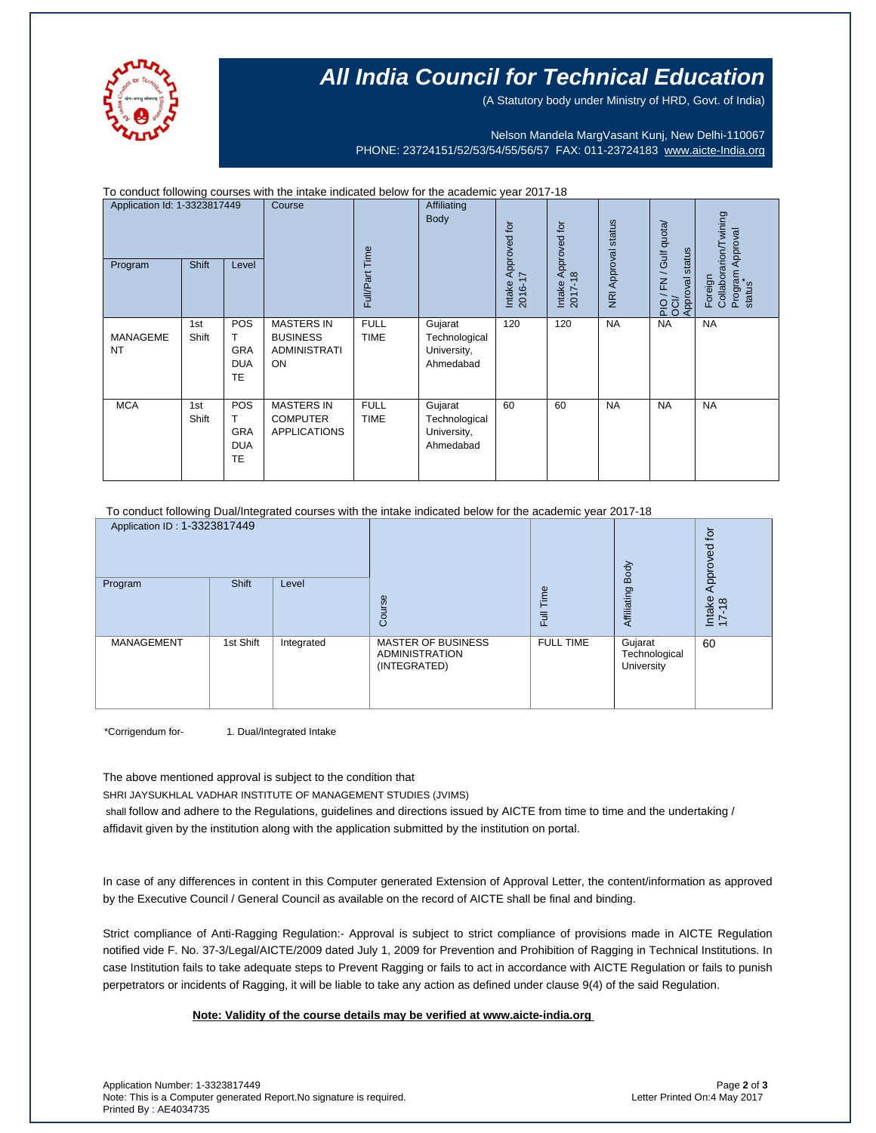

# **All India Council for Technical Education**

(A Statutory body under Ministry of HRD, Govt. of India)

Nelson Mandela MargVasant Kunj, New Delhi-110067 PHONE: 23724151/52/53/54/55/56/57 FAX: 011-23724183 [www.aicte-India.org](http://www.aicte-india.org/)

| To conduct following courses with the intake indicated below for the academic year 2017-18 |              |                                                    |                                                                   |                            |                                                      |                                               |                            |                                                          |                                                                |           |
|--------------------------------------------------------------------------------------------|--------------|----------------------------------------------------|-------------------------------------------------------------------|----------------------------|------------------------------------------------------|-----------------------------------------------|----------------------------|----------------------------------------------------------|----------------------------------------------------------------|-----------|
| Application Id: 1-3323817449<br><b>Shift</b><br>Program<br>Level                           |              | Course                                             | Full/Part Time                                                    | Affiliating<br>Body        | Intake Approved for<br>2016-17                       | Approved for<br>$\infty$<br>Intake<br>2017-11 | <b>NRI Approval status</b> | FN / Gulf quota/<br>status<br>Approval<br>$\overline{5}$ | Collaborarion/Twining<br>Program Approval<br>status<br>Foreign |           |
| <b>MANAGEME</b><br><b>NT</b>                                                               | 1st<br>Shift | POS<br>T.<br><b>GRA</b><br><b>DUA</b><br><b>TE</b> | <b>MASTERS IN</b><br><b>BUSINESS</b><br><b>ADMINISTRATI</b><br>ON | <b>FULL</b><br><b>TIME</b> | Gujarat<br>Technological<br>University,<br>Ahmedabad | 120                                           | 120                        | <b>NA</b>                                                | <b>NA</b>                                                      | <b>NA</b> |
| <b>MCA</b>                                                                                 | 1st<br>Shift | POS<br>т<br>GRA<br><b>DUA</b><br><b>TE</b>         | <b>MASTERS IN</b><br><b>COMPUTER</b><br><b>APPLICATIONS</b>       | <b>FULL</b><br><b>TIME</b> | Gujarat<br>Technological<br>University,<br>Ahmedabad | 60                                            | 60                         | <b>NA</b>                                                | <b>NA</b>                                                      | <b>NA</b> |

To conduct following Dual/Integrated courses with the intake indicated below for the academic year 2017-18

| Application ID: 1-3323817449 |           |            |                                                                    |                  | Body                                   | $\overline{5}$<br>Approved |
|------------------------------|-----------|------------|--------------------------------------------------------------------|------------------|----------------------------------------|----------------------------|
| Program                      | Shift     | Level      | Course                                                             | Time<br>Full     | Affiliating                            | Intake<br>17-18            |
| <b>MANAGEMENT</b>            | 1st Shift | Integrated | <b>MASTER OF BUSINESS</b><br><b>ADMINISTRATION</b><br>(INTEGRATED) | <b>FULL TIME</b> | Gujarat<br>Technological<br>University | 60                         |

\*Corrigendum for- 1. Dual/Integrated Intake

The above mentioned approval is subject to the condition that

SHRI JAYSUKHLAL VADHAR INSTITUTE OF MANAGEMENT STUDIES (JVIMS)

shall follow and adhere to the Regulations, guidelines and directions issued by AICTE from time to time and the undertaking / affidavit given by the institution along with the application submitted by the institution on portal.

In case of any differences in content in this Computer generated Extension of Approval Letter, the content/information as approved by the Executive Council / General Council as available on the record of AICTE shall be final and binding.

Strict compliance of Anti-Ragging Regulation:- Approval is subject to strict compliance of provisions made in AICTE Regulation notified vide F. No. 37-3/Legal/AICTE/2009 dated July 1, 2009 for Prevention and Prohibition of Ragging in Technical Institutions. In case Institution fails to take adequate steps to Prevent Ragging or fails to act in accordance with AICTE Regulation or fails to punish perpetrators or incidents of Ragging, it will be liable to take any action as defined under clause 9(4) of the said Regulation.

 **Note: Validity of the course details may be verified at www.aicte-india.org**